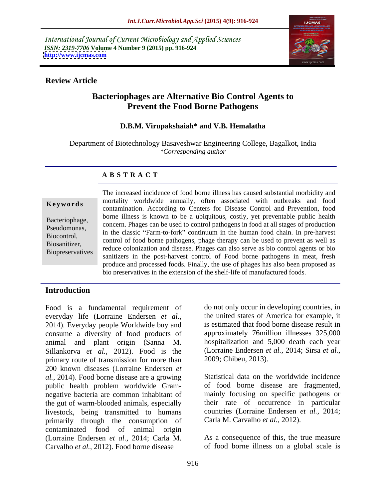International Journal of Current Microbiology and Applied Sciences *ISSN: 2319-7706* **Volume 4 Number 9 (2015) pp. 916-924 <http://www.ijcmas.com>**



## **Review Article**

# **Bacteriophages are Alternative Bio Control Agents to Prevent the Food Borne Pathogens**

## **D.B.M. Virupakshaiah\* and V.B. Hemalatha**

Department of Biotechnology Basaveshwar Engineering College, Bagalkot, India *\*Corresponding author*

### **A B S T R A C T**

**Biopreservatives** 

The increased incidence of food borne illness has caused substantial morbidity and mortality worldwide annually, often associated with outbreaks and food **Keywords** montanty worldwide annually, often associated with outbreaks and food contamination. According to Centers for Disease Control and Prevention, food borne illness is known to be a ubiquitous, costly, yet preventable public health Bacteriophage,<br>
concern. Phages can be used to control pathogens in food at all stages of production<br>
Beaudomones Pseudomonas,<br>
in the classic "Farm-to-fork" continuum in the human food chain. In pre-harvest Biocontrol,<br>
control of food borne pathogens, phage therapy can be used to prevent as well as Biosanitizer,<br>
Pionescentatives educe colonization and disease. Phages can also serve as bio control agents or bio sanitizers in the post-harvest control of Food borne pathogens in meat, fresh produce and processed foods. Finally, the use of phages has also been proposed as bio preservatives in the extension of the shelf-life of manufactured foods.

# **Introduction**

Food is a fundamental requirement of everyday life (Lorraine Endersen *et al.,* 2014). Everyday people Worldwide buy and consume a diversity of food products of animal and plant origin (Sanna M. Sillankorva *et al.*, 2012). Food is the (Lorraine Endersen *e* primary route of transmission for more than 2009; Chibeu, 2013). primary route of transmission for more than 200 known diseases (Lorraine Endersen *et al.,* 2014). Food borne disease are a growing public health problem worldwide Gram negative bacteria are common inhabitant of the gut of warm-blooded animals, especially livestock, being transmitted to humans countries (Lorraine Endersen *e* primarily through the consumption of Carla M. Carvalho *et al.*, 2012). primarily through the consumption of contaminated food of animal origin (Lorraine Endersen *et al.,* 2014; Carla M. Carvalho *et al.,* 2012). Food borne disease

do not only occur in developing countries, in the united states of America for example, it is estimated that food borne disease result in approximately 76million illnesses 325,000 hospitalization and 5,000 death each year (Lorraine Endersen *et al.,* 2014; Sirsa *et al.,*

2009; Chibeu, 2013).<br>Statistical data on the worldwide incidence of food borne disease are fragmented, mainly focusing on specific pathogens or their rate of occurrence in particular countries (Lorraine Endersen *et al.,* 2014;

Carla M. Carvalho *et al.,* 2012). As <sup>a</sup> consequence of this, the true measure of food borne illness on a global scale is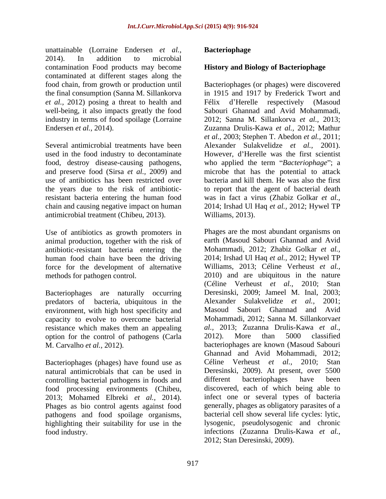unattainable (Lorraine Endersen *et al.,* 2014). In addition to microbial contamination Food products may become contaminated at different stages along the *et al.,* 2012) posing a threat to health and well-being, it also impacts greatly the food<br>Sabouri Ghannad and Avid Mohammadi, industry in terms of food spoilage (Lorraine 2012; Sanna M. Sillankorva et al., 2013;

used in the food industry to decontaminate However, d'Herelle was the first scientist resistant bacteria entering the human food antimicrobial treatment (Chibeu, 2013).

Use of antibiotics as growth promoters in animal production, together with the risk of antibiotic-resistant bacteria entering the human food chain have been the driving force for the development of alternative

Bacteriophages are naturally occurring predators of bacteria, ubiquitous in the Alexander Sulakvelidze et al., 2001; environment, with high host specificity and Masoud Sabouri Ghannad and Avid capacity to evolve to overcome bacterial resistance which makes them an appealing option for the control of pathogens (Carla 2012). More than 5000 classified

Bacteriophages (phages) have found use as Céline Verheust et al., 2010; Stan controlling bacterial pathogens in foods and different bacteriophages have been Phages as bio control agents against food pathogens and food spoilage organisms,

## **Bacteriophage**

# **History and Biology of Bacteriophage**

food chain, from growth or production until Bacteriophages (or phages) were discovered the final consumption (Sanna M. Sillankorva in 1915 and 1917 by Frederick Twort and Endersen *et al.*, 2014).<br> *Euzanna Drulis-Kawa et al.*, 2012; Mathur<br> *et al.*, 2003; Stephen T. Abedon *et al.*, 2011;<br>
Several antimicrobial treatments have been Alexander Sulakvelidze *et al.*, 2001). food, destroy disease-causing pathogens, who applied the term *"Bacteriophage"*; a and preserve food (Sirsa *et al.,* 2009) and microbe that has the potential to attack use of antibiotics has been restricted over bacteria and kill them. He was also the first the years due to the risk of antibiotic-to report that the agent of bacterial death chain and causing negative impact on human 2014; Irshad Ul Haq *et al.,* 2012; Hywel TP Félix d'Herelle respectively (Masoud Sabouri Ghannad and Avid Mohammadi, 2012; Sanna M. Sillankorva *et al.,* 2013; Zuzanna Drulis-Kawa *et al.,* 2012; Mathur *et al.,* 2003; Stephen T. Abedon *et al.,* 2011; Alexander Sulakvelidze *et al.*, 2001).<br>However, d'Herelle was the first scientist was in fact a virus (Zhabiz Golkar *et al.,* Williams, 2013).

methods for pathogen control. 2010) and are ubiquitous in the nature M. Carvalho *et al.,* 2012). bacteriophages are known (Masoud Sabouri natural antimicrobials that can be used in Deresinski, 2009). At present, over 5500 food processing environments (Chibeu, 2013; Mohamed Elbreki *et al.,* 2014). highlighting their suitability for use in the lysogenic, pseudolysogenic and chronic food industry. infections (Zuzanna Drulis-Kawa *et al.,* Phages are the most abundant organisms on earth (Masoud Sabouri Ghannad and Avid Mohammadi, 2012; Zhabiz Golkar *et al.,* 2014; Irshad Ul Haq *et al.,* 2012; Hywel TP Williams, 2013; Céline Verheust *et al.,* (Céline Verheust *et al.,* 2010; Stan Deresinski, 2009; Jameel M. Inal, 2003; Alexander Sulakvelidze *et al.*, Masoud Sabouri Ghannad and Avid Mohammadi, 2012; Sanna M. Sillankorva*et al.,* 2013; Zuzanna Drulis-Kawa *et al.,* 2012). More than 5000 classified Ghannad and Avid Mohammadi, 2012; Céline Verheust *et al.,* 2010; Stan different bacteriophages have been discovered, each of which being able to infect one or several types of bacteria generally, phages as obligatory parasites of a bacterial cell show several life cycles: lytic, 2012; Stan Deresinski, 2009).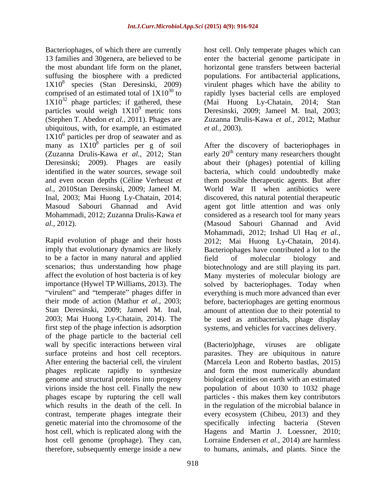Bacteriophages, of which there are currently host cell. Only temperate phages which can 13 families and 30genera, are believed to be enter the bacterial genome participate in the most abundant life form on the planet, horizontal gene transfers between bacterial suffusing the biosphere with a predicted populations. For antibacterial applications, 1X10<sup>8</sup> species (Stan Deresinski, 2009) virulent phages which have the ability to comprised of an estimated total of  $1X10^{30}$  to rapidly lyses bacterial cells are employed  $1X10^{32}$  phage particles; if gathered, these particles would weigh  $1X10^9$  metric tons Deresinski, 2009; Jameel M. Inal, 2003; (Stephen T. Abedon *et al.,* 2011). Phages are ubiquitous, with, for example, an estimated *et al.*, 2003).  $1X10<sup>6</sup>$  particles per drop of seawater and as many as  $1X10^8$  particles per g of soil After the discovery of bacteriophages in

imply that evolutionary dynamics are likely Bacteriophages have contributed a lot to the to be a factor in many natural and applied first step of the phage infection is adsorption systems, and vehicles for vaccines delivery. of the phage particle to the bacterial cell wall by specific interactions between viral (Bacterio)phage, viruses are obligate surface proteins and host cell receptors. parasites. They are ubiquitous in nature After entering the bacterial cell, the virulent (Marcela Leon and Roberto bastlas, 2015) phages replicate rapidly to synthesize and form the most numerically abundant genome and structural proteins into progeny virions inside the host cell. Finally the new population of about 1030 to 1032 phage phages escape by rupturing the cell wall particles - this makes them key contributors which results in the death of the cell. In in the regulation of the microbial balance in contrast, temperate phages integrate their every ecosystem (Chibeu, 2013) and they genetic material into the chromosome of the specifically infecting bacteria (Steven host cell, which is replicated along with the Hagens and Martin J. Loessner, 2010; host cell genome (prophage). They can, Lorraine Endersen *et al.,* 2014) are harmless therefore, subsequently emerge inside a new to humans, animals, and plants. Since the

phage particles; if gathered, these (Mai Huong Ly-Chatain, 2014; Stan Zuzanna Drulis-Kawa *et al.,* 2012; Mathur *et al.,* 2003).

(Zuzanna Drulis-Kawa *et al.*, 2012; Stan early  $20<sup>th</sup>$  century many researchers thought Deresinski; 2009). Phages are easily about their (phages) potential of killing identified in the water sources, sewage soil bacteria, which could undoubtedly make and even ocean depths (Céline Verheust *et*  them possible therapeutic agents. But after *al.,* 2010Stan Deresinski, 2009; Jameel M. World War II when antibiotics were Inal, 2003; Mai Huong Ly-Chatain, 2014; discovered, this natural potential therapeutic Masoud Sabouri Ghannad and Avid agent got little attention and was only Mohammadi, 2012; Zuzanna Drulis-Kawa *et*  considered as a research tool for many years *al.*, 2012).<br> **Al., 2012; Allie Accord Supplem Sabouri** Ghannad and Avid<br> **Rapid evolution of phage and their hosts** 2012; Mai Huong Ly-Chatain, 2014). scenarios; thus understanding how phage biotechnology and are still playing its part. affect the evolution of host bacteria is of key Many mysteries of molecular biology are importance (Hywel TP Williams, 2013). The solved by bacteriophages. Today when virulent" and "temperate" phages differ in everything is much more advanced than ever their mode of action (Mathur *et al.,* 2003; before, bacteriophages are getting enormous Stan Deresinski, 2009; Jameel M. Inal, amount of attention due to their potential to 2003; Mai Huong Ly-Chatain, 2014). The be used as antibacterials, phage display (Masoud Sabouri Ghannad and Avid Mohammadi, 2012; Irshad Ul Haq *et al.,* 2012; Mai Huong Ly-Chatain, 2014). Bacteriophages have contributed <sup>a</sup> lot to the field of molecular biology and amount of attention due to their potential to be used as antibacterials, phage display

biological entities on earth with an estimated

(Bacterio)phage, viruses are obligate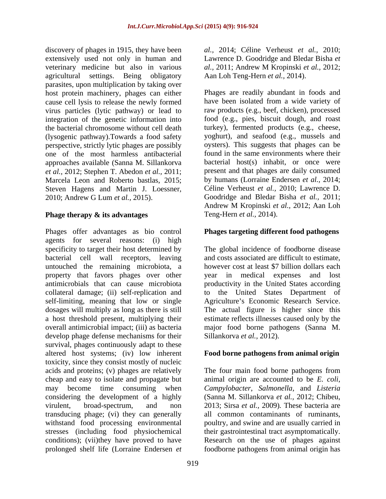discovery of phages in 1915, they have been *al.,* 2014; Céline Verheust *et al.,* 2010; extensively used not only in human and Lawrence D. Goodridge and Bledar Bisha *et*  veterinary medicine but also in various al., 2011; Andrew M Kropinski et al., 2012; agricultural settings. Being obligatory Aan Loh Teng-Hern et al., 2014). parasites, upon multiplication by taking over host protein machinery, phages can either Phages are readily abundant in foods and cause cell lysis to release the newly formed have been isolated from a wide variety of cause cell lysis to release the newly formed have been isolated from a wide variety of virus particles (lytic pathway) or lead to integration of the genetic information into the bacterial chromosome without cell death (lysogenic pathway).Towards a food safety perspective, strictly lytic phages are possibly one of the most harmless antibacterial approaches available (Sanna M. Sillankorva *et al.,* 2012; Stephen T. Abedon *et al.,* 2011; Marcela Leon and Roberto bastlas, 2015; Steven Hagens and Martin J. Loessner, Céline Verheust *et al.*, 2010; Lawrence D.<br>2010; Andrew G Lum *et al.*, 2015). Goodridge and Bledar Bisha *et al.*, 2011;

# **Phage therapy & its advantages** Teng-Hern *et al.*, 2014).

Phages offer advantages as bio control **Phages targeting different food pathogens** agents for several reasons: (i) high specificity to target their host determined by bacterial cell wall receptors, leaving untouched the remaining microbiota, a property that favors phages over other vear in medical expenses and lost antimicrobials that can cause microbiota productivity in the United States according collateral damage; (ii) self-replication and self-limiting, meaning that low or single Agriculture's Economic Research Service. dosages will multiply as long as there is still a host threshold present, multiplying their estimate reflects illnesses caused only by the overall antimicrobial impact; (iii) as bacteria major food borne pathogens (Sanna M. develop phage defense mechanisms for their survival, phages continuously adapt to these altered host systems; (iv) low inherent **Food borne pathogens from animal origin** toxicity, since they consist mostly of nucleic acids and proteins; (v) phages are relatively The four main food borne pathogens from cheap and easy to isolate and propagate but may become time consuming when *Campylobacter*, *Salmonella,* and *Listeria*  considering the development of a highly (Sanna M. Sillankorva et al., 2012; Chibeu, virulent, broad-spectrum, and non 2013; Sirsa et al., 2009). These bacteria are transducing phage; (vi) they can generally all common contaminants of ruminants, withstand food processing environmental poultry, and swine and are usually carried in stresses (including food physiochemical their gastrointestinal tract asymptomatically. conditions); (vii)they have proved to have prolonged shelf life (Lorraine Endersen *et*  foodborne pathogens from animal origin has

*al.,* 2011; Andrew M Kropinski *et al.,* 2012;

Aan Loh Teng-Hern *et al.,* 2014). Phages are readily abundant in foods and raw products (e.g., beef, chicken), processed food (e.g., pies, biscuit dough, and roast turkey), fermented products (e.g., cheese, yoghurt), and seafood (e.g., mussels and oysters). This suggests that phages can be found in the same environments where their bacterial host(s) inhabit, or once were present and that phages are daily consumed by humans (Lorraine Endersen *et al.,* 2014; Céline Verheust *et al.,* 2010; Lawrence D. Goodridge and Bledar Bisha *et al.,* 2011; Andrew M Kropinski *et al.,* 2012; Aan Loh Teng-Hern *et al.,* 2014).

The global incidence of foodborne disease and costs associated are difficult to estimate, however cost at least \$7 billion dollars each year in medical expenses and to the United States Department of The actual figure is higher since this Sillankorva *et al.,* 2012).

animal origin are accounted to be *E. coli*, (Sanna M. Sillankorva *et al.,* 2012; Chibeu, 2013; Sirsa *et al.,* 2009)*.* These bacteria are Research on the use of phages against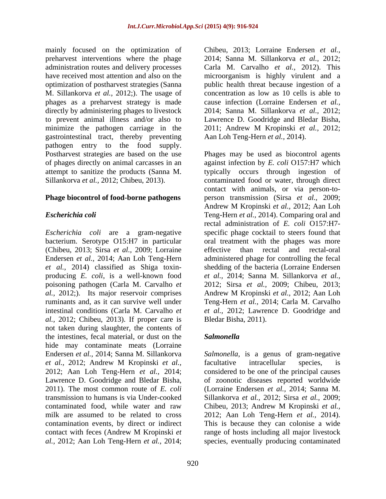mainly focused on the optimization of preharvest interventions where the phage administration routes and delivery processes Carla M. Carvalho *et al.,* 2012). This have received most attention and also on the microorganism is highly virulent and a optimization of postharvest strategies (Sanna public health threat because ingestion of a M. Sillankorva *et al.,* 2012;). The usage of phages as a preharvest strategy is made directly by administering phages to livestock to prevent animal illness and/or also to Lawrence D. Goodridge and Bledar Bisha, minimize the pathogen carriage in the 2011; Andrew M Kropinski et al., 2012; gastrointestinal tract, thereby preventing Aan Loh Teng-Hern et al., 2014). pathogen entry to the food supply. Postharvest strategies are based on the use Phages may be used as biocontrol agents

(Chibeu, 2013; Sirsa *et al.,* 2009; Lorraine poisoning pathogen (Carla M. Carvalho *et al.,* 2012; Chibeu, 2013). If proper care is not taken during slaughter, the contents of the intestines, fecal material, or dust on the Salmonella hide may contaminate meats (Lorraine Endersen *et al.,* 2014; Sanna M. Sillankorva *Salmonella,* is a genus of gram-negative *et al.,* 2012; Andrew M Kropinski *et al.,* 2012; Aan Loh Teng-Hern *et al.,* 2014; considered to be one of the principal causes Lawrence D. Goodridge and Bledar Bisha, of zoonotic diseases reported worldwide 2011). The most common route of *E. coli* (Lorraine Endersen *et al.*, 2014; Sanna M. transmission to humans is via Under-cooked Sillankorva *et al.,* 2012; Sirsa *et al.,* 2009; contaminated food, while water and raw Chibeu, 2013; Andrew M Kropinski et al., milk are assumed to be related to cross 2012; Aan Loh Teng-Hern *et al.,* 2014). contamination events, by direct or indirect This is because they can colonise a wide contact with feces (Andrew M Kropinski *et al.,* 2012; Aan Loh Teng-Hern *et al.,* 2014; species, eventually producing contaminated

Chibeu, 2013; Lorraine Endersen *et al.,* 2014; Sanna M. Sillankorva *et al.,* 2012; concentration as low as 10 cells is able to cause infection (Lorraine Endersen *et al.,* 2014; Sanna M. Sillankorva *et al.,* 2012; Lawrence D. Goodridge and Bledar Bisha, 2011; Andrew <sup>M</sup> Kropinski *et al.,* 2012;

of phages directly on animal carcasses in an against infection by *E. coli* O157:H7 which attempt to sanitize the products (Sanna M. typically occurs through ingestion of Sillankorva *et al.*, 2012; Chibeu, 2013). contaminated food or water, through direct **Phage biocontrol of food-borne pathogens** person transmission (Sirsa *et al.,* 2009; *Escherichia coli* Teng-Hern *et al.,* 2014). Comparing oral and *Escherichia coli* are a gram-negative specific phage cocktail to steers found that bacterium. Serotype O15:H7 in particular oral treatment with the phages was more Endersen *et al.,* 2014; Aan Loh Teng-Hern administered phage for controlling the fecal *et al.,* 2014) classified as Shiga toxin- shedding of the bacteria (Lorraine Endersen producing *E. coli*, is a well-known food *et al.,* 2014; Sanna M. Sillankorva *et al., al.,* 2012;). Its major reservoir comprises Andrew M Kropinski *et al.,* 2012; Aan Loh ruminants and, as it can survive well under Teng-Hern *et al.,* 2014; Carla M. Carvalho intestinal conditions (Carla M. Carvalho *et et al.,* 2012; Lawrence D. Goodridge and Aan Loh Teng-Hern *et al.,* 2014). Phages may be used as biocontrol agents contact with animals, or via person-to- Andrew M Kropinski *et al.,* 2012; Aan Loh rectal administration of *E. coli* O157:H7 effective than rectal and rectal-oral 2012; Sirsa *et al.,* 2009; Chibeu, 2013; Bledar Bisha, 2011).

# *Salmonella*

facultative intracellular species, is of zoonotic diseases reported worldwide (Lorraine Endersen *et al.,* 2014; Sanna M. Chibeu, 2013; Andrew M Kropinski *et al.,* range of hosts including all major livestock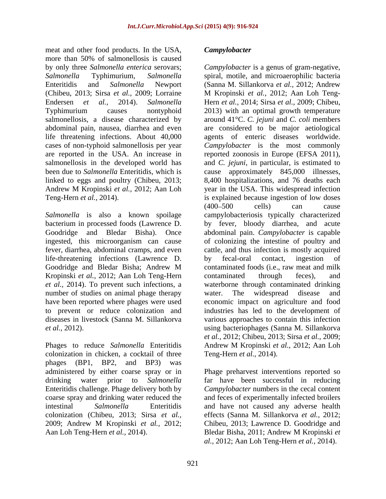meat and other food products. In the USA, Campylobacter more than 50% of salmonellosis is caused Endersen *et al.,* 2014). *Salmonella*  Typhimurium causes nontyphoid 2013) with an optimal growth temperature abdominal pain, nausea, diarrhea and even life threatening infections. About 40,000

life-threatening infections (Lawrence D. Kropinski *et al.,* 2012; Aan Loh Teng-Hern number of studies on animal phage therapy water. The widespread disease and

colonization in chicken, a cocktail of three Teng-Hern et al., 2014). phages (BP1, BP2, and BP3) was Enteritidis challenge. Phage delivery both by

by only three *Salmonella enterica* serovars; *Campylobacter* is a genus of gram-negative, *Salmonella* Typhimurium, *Salmonella*  spiral, motile, and microaerophilic bacteria Enteritidis and *Salmonella* Newport (Sanna M. Sillankorva *et al.,* 2012; Andrew (Chibeu, 2013; Sirsa *et al.,* 2009; Lorraine M Kropinski *et al.,* 2012; Aan Loh Teng salmonellosis, a disease characterized by around 41°C. *C. jejuni* and *C. coli*members cases of non-typhoid salmonellosis per year *Campylobacter* is the most commonly are reported in the USA. An increase in reported zoonosis in Europe (EFSA 2011), salmonellosis in the developed world has and *C. jejuni*, in particular, is estimated to been due to *Salmonella* Enteritidis, which is cause approximately 845,000 illnesses, linked to eggs and poultry (Chibeu, 2013; 8,400 hospitalizations, and 76 deaths each Andrew M Kropinski *et al.,* 2012; Aan Loh Teng-Hern *et al.*, 2014). is explained because ingestion of low doses *Salmonella* is also a known spoilage campylobacteriosis typically characterized bacterium in processed foods (Lawrence D. by fever, bloody diarrhea, and acute Goodridge and Bledar Bisha). Once abdominal pain. *Campylobacter* is capable ingested, this microorganism can cause of colonizing the intestine of poultry and fever, diarrhea, abdominal cramps, and even cattle, and thus infection is mostly acquired Goodridge and Bledar Bisha; Andrew M *et al.,* 2014). To prevent such infections, a waterborne through contaminated drinking have been reported where phages were used economic impact on agriculture and food to prevent or reduce colonization and industries has led to the development of diseases in livestock (Sanna M. Sillankorva various approaches to contain this infection *et al.,* 2012). using bacteriophages (Sanna M. Sillankorva Phages to reduce *Salmonella* Enteritidis Andrew M Kropinski *et al.,* 2012; Aan Loh near and drive frod products. In he USA, a Campylobacter is a grant of granteneoid enters in the state of the state of the state of the state of the state of the state of the state of the state of the state of the state o Hern *et al.,* 2014; Sirsa *et al.,* 2009; Chibeu, 2013) with an optimal growth temperature are considered to be major aetiological agents of enteric diseases worldwide. year in the USA. This widespread infection  $(400 - 500$  cells) can cause by fecal-oral contact, ingestion of contaminated foods (i.e., raw meat and milk contaminated through feces), and water. The widespread disease and *et al.,* 2012; Chibeu, 2013; Sirsa *et al.,* 2009; Teng-Hern *et al.,* 2014).

administered by either coarse spray or in Phage preharvest interventions reported so drinking water prior to *Salmonella*  far have been successful in reducing coarse spray and drinking water reduced the and feces of experimentally infected broilers intestinal *Salmonella* Enteritidis and have not caused any adverse health colonization (Chibeu, 2013; Sirsa *et al.,* effects (Sanna M. Sillankorva *et al.,* 2012; 2009; Andrew M Kropinski *et al.,* 2012; *Campylobacter* numbers in the cecal content Chibeu, 2013; Lawrence D. Goodridge and Bledar Bisha, 2011; Andrew M Kropinski *et al.,* 2012; Aan Loh Teng-Hern *et al.,* 2014).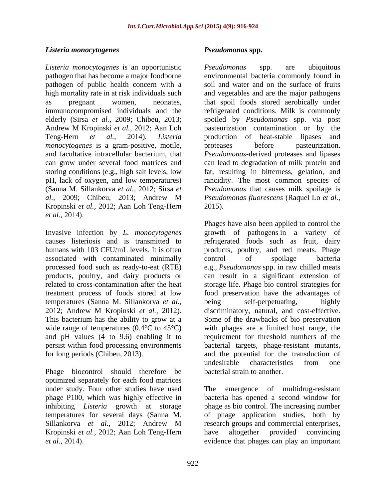### *Listeria monocytogenes*

*Listeria monocytogenes* is an opportunistic pathogen that has become a major foodborne environmental bacteria commonly found in pathogen of public health concern with a soil and water and on the surface of fruits high mortality rate in at risk individuals such and vegetables and are the major pathogens as pregnant women, neonates, that spoil foods stored aerobically under immunocompromised individuals and the refrigerated conditions. Milk is commonly elderly (Sirsa *et al.,* 2009; Chibeu, 2013; spoiled by *Pseudomonas* spp. via post Andrew M Kropinski *et al.,* 2012; Aan Loh pasteurization contamination or by the Teng-Hern *et al.,* 2014). *Listeria*  production of heat-stable lipases and *monocytogenes* is a gram-positive, motile, proteases before pasteurization. and facultative intracellular bacterium, that *Pseudomonas*-derived proteases and lipases can grow under several food matrices and can lead to degradation of milk protein and storing conditions (e.g., high salt levels, low fat, resulting in bitterness, gelation, and pH, lack of oxygen, and low temperatures) rancidity. The most common species of (Sanna M. Sillankorva *et al.,* 2012; Sirsa *et Pseudomonas* that causes milk spoilage is *al.,* 2009; Chibeu, 2013; Andrew M Kropinski *et al.,* 2012; Aan Loh Teng-Hern

associated with contaminated minimally related to cross-contamination after the heat temperatures (Sanna M. Sillankorva *et al.,*

Phage biocontrol should therefore be optimized separately for each food matrices under study. Four other studies have used The emergence of multidrug-resistant phage P100, which was highly effective in Kropinski *et al.,* 2012; Aan Loh Teng-Hern

*Pseudomonas* spp. are ubiquitous proteases before pasteurization. *Pseudomonas fluorescens* (Raquel Lo *et al.,* 2015).

*et al.,* 2014). Invasive infection by *L. monocytogenes* causes listeriosis and is transmitted to refrigerated foods such as fruit, dairy humans with 103 CFU/mL levels. It is often products, poultry, and red meats. Phage processed food such as ready-to-eat (RTE) e.g., *Pseudomonas* spp. in raw chilled meats products, poultry, and dairy products or can result in a significant extension of treatment process of foods stored at low food preservation have the advantages of 2012; Andrew M Kropinski *et al.,* 2012). discriminatory, natural, and cost-effective. This bacterium has the ability to grow at a Some of the drawbacks of bio preservation wide range of temperatures (0.4<sup>o</sup>C to 45<sup>o</sup>C) with phages are a limited host range, the and pH values (4 to 9.6) enabling it to requirement for threshold numbers of the persist within food processing environments bacterial targets, phage-resistant mutants, for long periods (Chibeu, 2013). and the potential for the transduction of *Exteria monocytogenes*<br> *Exteria monocytogenes*<br> *Exteria nonocytogenes*<br> *Exteria nonocytogenes*<br> **Exterioristic controlled controlled and the become many foundation<br>
<b>Exterioristic controlled controlled and the second** Phages have also been applied to control the growth of pathogens in a variety of control of spoilage bacteria storage life. Phage bio control strategies for being self-perpetuating, highly undesirable characteristics from one bacterial strain to another.

inhibiting *Listeria* growth at storage phage as bio control. The increasing number temperatures for several days (Sanna M. of phage application studies, both by Sillankorva *et al.,* 2012; Andrew M The emergence of multidrug-resistant bacteria has opened a second window for research groups and commercial enterprises, have altogether provided convincing evidence that phages can play an important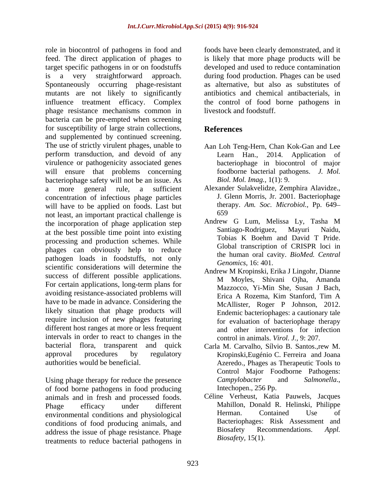role in biocontrol of pathogens in food and feed. The direct application of phages to is likely that more phage products will be target specific pathogens in or on foodstuffs developed and used to reduce contamination is a very straightforward approach. during food production. Phages can be used Spontaneously occurring phage-resistant mutants are not likely to significantly influence treatment efficacy. Complex the control of food borne pathogens in phage resistance mechanisms common in bacteria can be pre-empted when screening for susceptibility of large strain collections, and supplemented by continued screening. The use of strictly virulent phages, unable to perform transduction, and devoid of any virulence or pathogenicity associated genes will ensure that problems concerning bacteriophage safety will not be an issue. As a more general rule, a sufficient Alexander Sulakvelidze, Zemphira Alavidze., concentration of infectious phage particles will have to be applied on foods. Last but there not least an important practical challenge is 659 not least, an important practical challenge is<br>the incorporation of phage application step Andrew G Lum, Melissa Ly, Tasha M the incorporation of phage application step<br>
of the best pessible time point into cristing<br>
Santiago-Rodriguez, Mayuri Naidu, at the best possible time point into existing<br>
antago-Rodriguez, Mayuri Naidu,<br>
Tobias K Boehm and David T Pride. processing and production schemes. While phages can obviously help to reduce pathogen loads in foodstuffs, not only scientific considerations will determine the success of different possible applications.<br>
M Moyles, Shivani Ojha, Amanda For certain applications, long-term plans for avoiding resistance-associated problems will<br>Erica A Rozema. Kim Stanford, Tim A have to be made in advance. Considering the likely situation that phage products will require inclusion of new phages featuring different host ranges at more or less frequent intervals in order to react to changes in the bacterial flora, transparent and quick Carla M. Carvalho, Sílvio B. Santos.,rew M. approval procedures by regulatory Kropinski,Eugénio C. Ferreira and Joana

Using phage therapy for reduce the presence  $\frac{Campylobacter}{Campylobacter}$  and  $\frac{Salmonella}{Campylobacter}$ , of food borne pathogens in food producing Intechopen., 256 Pp. of food borne pathogens in food producing animals and in fresh and processed foods. environmental conditions and physiological Herman. Contained Use of conditions of food producing animals, and<br>address the issue of phase resistance. Phase and Biosafety Recommendations. Appl. address the issue of phage resistance. Phage treatments to reduce bacterial pathogens in

foods have been clearly demonstrated, and it as alternative, but also as substitutes of antibiotics and chemical antibacterials, in livestock and foodstuff.

# **References**

- Aan Loh Teng-Hern, Chan Kok-Gan and Lee Learn Han., 2014. Application of bacteriophage in biocontrol of major foodborne bacterial pathogens. *J. Mol. Biol. Mol. Imag.,* 1(1): 9.
- J. Glenn Morris, Jr. 2001. Bacteriophage therapy. *Am. Soc. Microbiol.,* Pp. 649 659
- Andrew G Lum, Melissa Ly, Tasha M Santiago-Rodriguez, Tobias K Boehm and David T Pride. Global transcription of CRISPR loci in the human oral cavity. *BioMed. Central Genomics,* 16: 401.
- Andrew M Kropinski, Erika J Lingohr, Dianne M Moyles, Shivani Ojha, Amanda Mazzocco, Yi-Min She, Susan J Bach, Erica A Rozema, Kim Stanford, Tim A McAllister, Roger P Johnson, 2012. Endemic bacteriophages: a cautionary tale for evaluation of bacteriophage therapy and other interventions for infection control in animals. *Virol. J.,* 9: 207.
- authorities would be beneficial. Azeredo., Phages as Therapeutic Tools to Control Major Foodborne Pathogens: *Campylobacter* and *Salmonella*., Intechopen., 256 Pp.
- Phage efficacy under different Mahillon, Donald R. Helinski, Philippe Céline Verheust, Katia Pauwels, Jacques Herman. Contained Use of Bacteriophages: Risk Assessment and Biosafety Recommendations. *Appl. Biosafety,* 15(1).